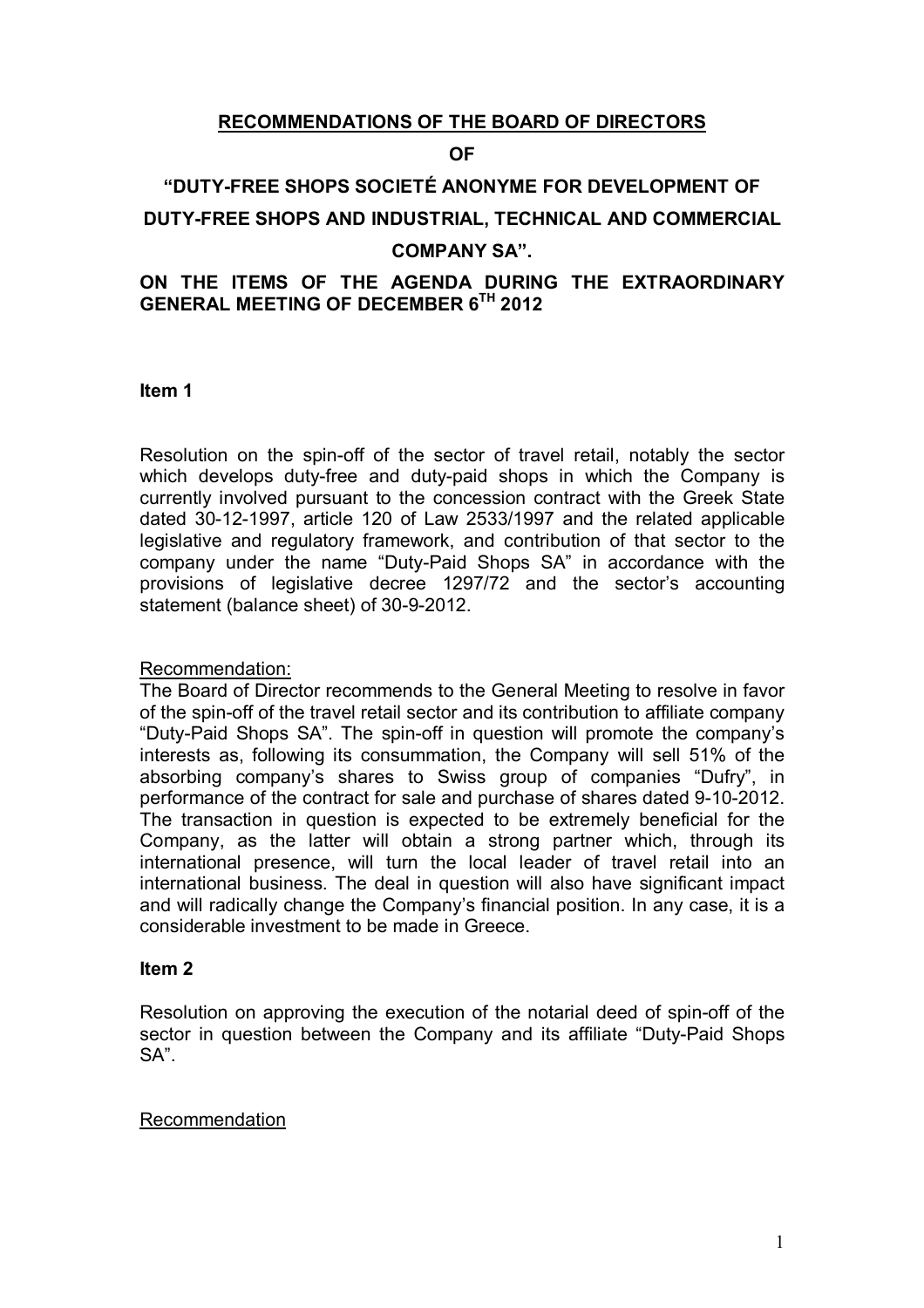# **RECOMMENDATIONS OF THE BOARD OF DIRECTORS**

### **OF**

# **"DUTY-FREE SHOPS SOCIETÉ ANONYME FOR DEVELOPMENT OF DUTY-FREE SHOPS AND INDUSTRIAL, TECHNICAL AND COMMERCIAL COMPANY SA".**

# **ON THE ITEMS OF THE AGENDA DURING THE EXTRAORDINARY GENERAL MEETING OF DECEMBER 6TH 2012**

**Item 1**

Resolution on the spin-off of the sector of travel retail, notably the sector which develops duty-free and duty-paid shops in which the Company is currently involved pursuant to the concession contract with the Greek State dated 30-12-1997, article 120 of Law 2533/1997 and the related applicable legislative and regulatory framework, and contribution of that sector to the company under the name "Duty-Paid Shops SA" in accordance with the provisions of legislative decree 1297/72 and the sector's accounting statement (balance sheet) of 30-9-2012.

### Recommendation:

The Board of Director recommends to the General Meeting to resolve in favor of the spin-off of the travel retail sector and its contribution to affiliate company "Duty-Paid Shops SA". The spin-off in question will promote the company's interests as, following its consummation, the Company will sell 51% of the absorbing company's shares to Swiss group of companies "Dufry", in performance of the contract for sale and purchase of shares dated 9-10-2012. The transaction in question is expected to be extremely beneficial for the Company, as the latter will obtain a strong partner which, through its international presence, will turn the local leader of travel retail into an international business. The deal in question will also have significant impact and will radically change the Company's financial position. In any case, it is a considerable investment to be made in Greece.

### **Item 2**

Resolution on approving the execution of the notarial deed of spin-off of the sector in question between the Company and its affiliate "Duty-Paid Shops SA".

### Recommendation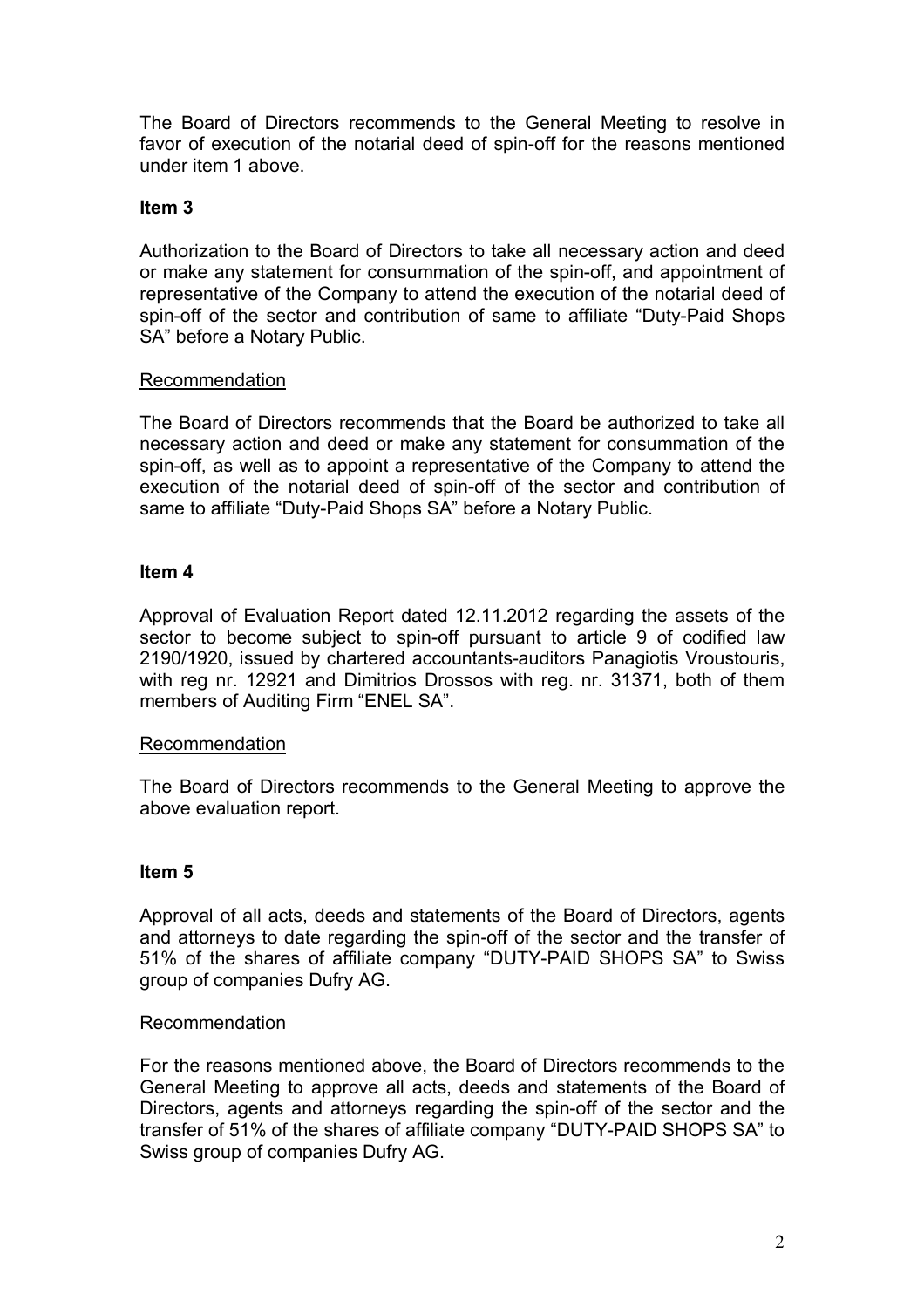The Board of Directors recommends to the General Meeting to resolve in favor of execution of the notarial deed of spin-off for the reasons mentioned under item 1 above.

# **Item 3**

Authorization to the Board of Directors to take all necessary action and deed or make any statement for consummation of the spin-off, and appointment of representative of the Company to attend the execution of the notarial deed of spin-off of the sector and contribution of same to affiliate "Duty-Paid Shops SA" before a Notary Public.

# **Recommendation**

The Board of Directors recommends that the Board be authorized to take all necessary action and deed or make any statement for consummation of the spin-off, as well as to appoint a representative of the Company to attend the execution of the notarial deed of spin-off of the sector and contribution of same to affiliate "Duty-Paid Shops SA" before a Notary Public.

# **Item 4**

Approval of Evaluation Report dated 12.11.2012 regarding the assets of the sector to become subject to spin-off pursuant to article 9 of codified law 2190/1920, issued by chartered accountants-auditors Panagiotis Vroustouris, with reg nr. 12921 and Dimitrios Drossos with reg. nr. 31371, both of them members of Auditing Firm "ENEL SA".

# Recommendation

The Board of Directors recommends to the General Meeting to approve the above evaluation report.

# **Item 5**

Approval of all acts, deeds and statements of the Board of Directors, agents and attorneys to date regarding the spin-off of the sector and the transfer of 51% of the shares of affiliate company "DUTY-PAID SHOPS SA" to Swiss group of companies Dufry AG.

# Recommendation

For the reasons mentioned above, the Board of Directors recommends to the General Meeting to approve all acts, deeds and statements of the Board of Directors, agents and attorneys regarding the spin-off of the sector and the transfer of 51% of the shares of affiliate company "DUTY-PAID SHOPS SA" to Swiss group of companies Dufry AG.